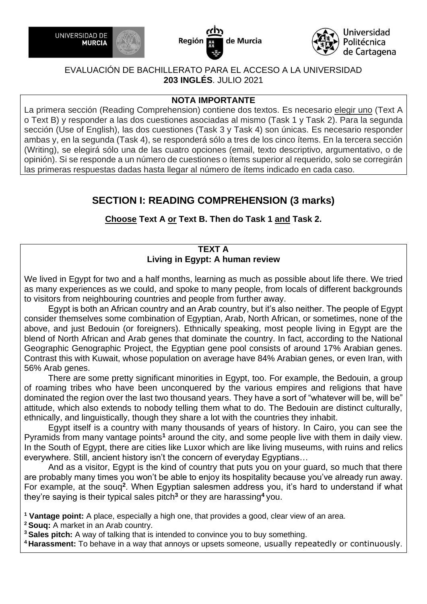





#### **NOTA IMPORTANTE**

La primera sección (Reading Comprehension) contiene dos textos. Es necesario elegir uno (Text A o Text B) y responder a las dos cuestiones asociadas al mismo (Task 1 y Task 2). Para la segunda sección (Use of English), las dos cuestiones (Task 3 y Task 4) son únicas. Es necesario responder ambas y, en la segunda (Task 4), se responderá sólo a tres de los cinco ítems. En la tercera sección (Writing), se elegirá sólo una de las cuatro opciones (email, texto descriptivo, argumentativo, o de opinión). Si se responde a un número de cuestiones o ítems superior al requerido, solo se corregirán las primeras respuestas dadas hasta llegar al número de ítems indicado en cada caso.

# **SECTION I: READING COMPREHENSION (3 marks)**

**Choose Text A or Text B. Then do Task 1 and Task 2.**

## **TEXT A Living in Egypt: A human review**

We lived in Egypt for two and a half months, learning as much as possible about life there. We tried as many experiences as we could, and spoke to many people, from locals of different backgrounds to visitors from neighbouring countries and people from further away.

 Egypt is both an African country and an Arab country, but it's also neither. The people of Egypt consider themselves some combination of Egyptian, Arab, North African, or sometimes, none of the above, and just Bedouin (or foreigners). Ethnically speaking, most people living in Egypt are the blend of North African and Arab genes that dominate the country. In fact, according to the National Geographic Genographic Project, the Egyptian gene pool consists of around 17% Arabian genes. Contrast this with Kuwait, whose population on average have 84% Arabian genes, or even Iran, with 56% Arab genes.

 There are some pretty significant minorities in Egypt, too. For example, the Bedouin, a group of roaming tribes who have been unconquered by the various empires and religions that have dominated the region over the last two thousand years. They have a sort of "whatever will be, will be" attitude, which also extends to nobody telling them what to do. The Bedouin are distinct culturally, ethnically, and linguistically, though they share a lot with the countries they inhabit.

 Egypt itself is a country with many thousands of years of history. In Cairo, you can see the Pyramids from many vantage points**<sup>1</sup>** around the city, and some people live with them in daily view. In the South of Egypt, there are cities like Luxor which are like living museums, with ruins and relics everywhere. Still, ancient history isn't the concern of everyday Egyptians…

 And as a visitor, Egypt is the kind of country that puts you on your guard, so much that there are probably many times you won't be able to enjoy its hospitality because you've already run away. For example, at the souq**<sup>2</sup>** . When Egyptian salesmen address you, it's hard to understand if what they're saying is their typical sales pitch**<sup>3</sup>** or they are harassing **<sup>4</sup>** you.

**<sup>1</sup> Vantage point:** A place, especially a high one, that provides a good, clear view of an area.

**<sup>2</sup>Souq:** A market in an Arab country.

**<sup>3</sup>Sales pitch:** A way of talking that is intended to convince you to buy something.

**<sup>4</sup>Harassment:** To behave in a way that annoys or upsets someone, usually repeatedly or continuously.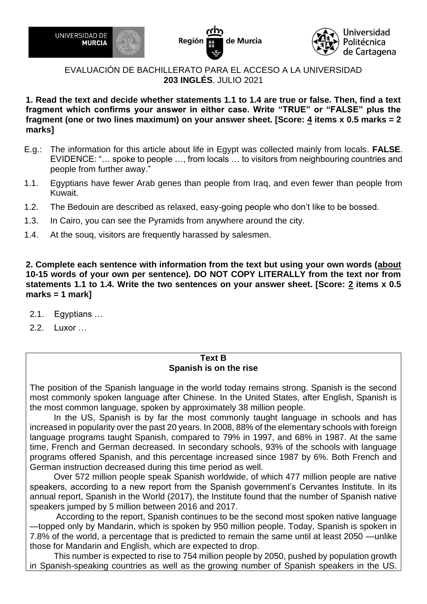





**1. Read the text and decide whether statements 1.1 to 1.4 are true or false. Then, find a text fragment which confirms your answer in either case. Write "TRUE" or "FALSE" plus the fragment (one or two lines maximum) on your answer sheet. [Score: 4 items x 0.5 marks = 2 marks]**

- E.g.: The information for this article about life in Egypt was collected mainly from locals. **FALSE**. EVIDENCE: "… spoke to people …, from locals … to visitors from neighbouring countries and people from further away."
- 1.1. Egyptians have fewer Arab genes than people from Iraq, and even fewer than people from Kuwait.
- 1.2. The Bedouin are described as relaxed, easy-going people who don't like to be bossed.
- 1.3. In Cairo, you can see the Pyramids from anywhere around the city.
- 1.4. At the souq, visitors are frequently harassed by salesmen.

**2. Complete each sentence with information from the text but using your own words (about 10-15 words of your own per sentence). DO NOT COPY LITERALLY from the text nor from statements 1.1 to 1.4. Write the two sentences on your answer sheet. [Score: 2 items x 0.5 marks = 1 mark]**

- 2.1. Egyptians …
- 2.2. Luxor …

#### **Text B Spanish is on the rise**

The position of the Spanish language in the world today remains strong. Spanish is the second most commonly spoken language after Chinese. In the United States, after English, Spanish is the most common language, spoken by approximately 38 million people.

 In the US, Spanish is by far the most commonly taught language in schools and has increased in popularity over the past 20 years. In 2008, 88% of the elementary schools with foreign language programs taught Spanish, compared to 79% in 1997, and 68% in 1987. At the same time, French and German decreased. In secondary schools, 93% of the schools with language programs offered Spanish, and this percentage increased since 1987 by 6%. Both French and German instruction decreased during this time period as well.

 Over 572 million people speak Spanish worldwide, of which 477 million people are native speakers, according to a new report from the Spanish government's Cervantes Institute. In its annual report, Spanish in the World (2017), the Institute found that the number of Spanish native speakers jumped by 5 million between 2016 and 2017.

 According to the report, Spanish continues to be the second most spoken native language —topped only by Mandarin, which is spoken by 950 million people. Today, Spanish is spoken in 7.8% of the world, a percentage that is predicted to remain the same until at least 2050 —unlike those for Mandarin and English, which are expected to drop.

 This number is expected to rise to 754 million people by 2050, pushed by population growth in Spanish-speaking countries as well as the growing number of Spanish speakers in the US.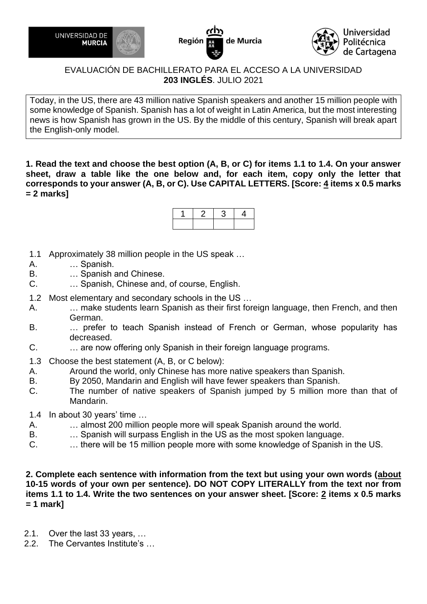





Today, in the US, there are 43 million native Spanish speakers and another 15 million people with some knowledge of Spanish. Spanish has a lot of weight in Latin America, but the most interesting news is how Spanish has grown in the US. By the middle of this century, Spanish will break apart the English-only model.

**1. Read the text and choose the best option (A, B, or C) for items 1.1 to 1.4. On your answer sheet, draw a table like the one below and, for each item, copy only the letter that corresponds to your answer (A, B, or C). Use CAPITAL LETTERS. [Score: 4 items x 0.5 marks = 2 marks]**

- 1.1 Approximately 38 million people in the US speak …
- A. … Spanish.
- B. … Spanish and Chinese.
- C. … Spanish, Chinese and, of course, English.
- 1.2 Most elementary and secondary schools in the US …
- A. … make students learn Spanish as their first foreign language, then French, and then German.
- B. … prefer to teach Spanish instead of French or German, whose popularity has decreased.
- C. … are now offering only Spanish in their foreign language programs.
- 1.3 Choose the best statement (A, B, or C below):
- A. Around the world, only Chinese has more native speakers than Spanish.
- B. By 2050, Mandarin and English will have fewer speakers than Spanish.
- C. The number of native speakers of Spanish jumped by 5 million more than that of Mandarin.
- 1.4 In about 30 years' time …
- A. … almost 200 million people more will speak Spanish around the world.
- B. … Spanish will surpass English in the US as the most spoken language.
- C. … there will be 15 million people more with some knowledge of Spanish in the US.

**2. Complete each sentence with information from the text but using your own words (about 10-15 words of your own per sentence). DO NOT COPY LITERALLY from the text nor from items 1.1 to 1.4. Write the two sentences on your answer sheet. [Score: 2 items x 0.5 marks = 1 mark]**

- 2.1. Over the last 33 years, …
- 2.2. The Cervantes Institute's …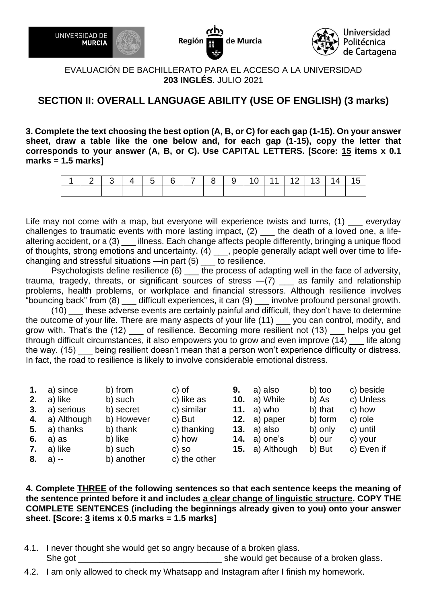

de Murcia Región



#### EVALUACIÓN DE BACHILLERATO PARA EL ACCESO A LA UNIVERSIDAD **203 INGLÉS**. JULIO 2021

# **SECTION II: OVERALL LANGUAGE ABILITY (USE OF ENGLISH) (3 marks)**

**3. Complete the text choosing the best option (A, B, or C) for each gap (1-15). On your answer sheet, draw a table like the one below and, for each gap (1-15), copy the letter that corresponds to your answer (A, B, or C). Use CAPITAL LETTERS. [Score: 15 items x 0.1 marks = 1.5 marks]**

|  | $1 \mid 2 \mid 3 \mid 4 \mid 5 \mid 6 \mid 7 \mid 8 \mid 9 \mid 10 \mid 11 \mid 12 \mid 13 \mid 14 \mid 15$ |  |  |  |  |  |  |
|--|-------------------------------------------------------------------------------------------------------------|--|--|--|--|--|--|
|  |                                                                                                             |  |  |  |  |  |  |

Life may not come with a map, but everyone will experience twists and turns, (1) \_\_\_ everyday challenges to traumatic events with more lasting impact, (2) \_\_\_ the death of a loved one, a lifealtering accident, or a (3) \_\_\_ illness. Each change affects people differently, bringing a unique flood of thoughts, strong emotions and uncertainty.  $(4)$  \_\_\_, people generally adapt well over time to lifechanging and stressful situations —in part (5) \_\_\_ to resilience.

Psychologists define resilience (6) \_\_\_ the process of adapting well in the face of adversity, trauma, tragedy, threats, or significant sources of stress  $-(7)$  as family and relationship problems, health problems, or workplace and financial stressors. Although resilience involves "bouncing back" from (8) \_\_\_ difficult experiences, it can (9) \_\_\_ involve profound personal growth.

 $(10)$  these adverse events are certainly painful and difficult, they don't have to determine the outcome of your life. There are many aspects of your life (11) \_\_\_ you can control, modify, and grow with. That's the (12) \_\_\_ of resilience. Becoming more resilient not (13) \_\_\_ helps you get through difficult circumstances, it also empowers you to grow and even improve (14) \_\_\_ life along the way. (15) being resilient doesn't mean that a person won't experience difficulty or distress. In fact, the road to resilience is likely to involve considerable emotional distress.

| 1. $a)$ since    | b) from    | c) of        | 9. | a) also             | b) too  | c) beside  |
|------------------|------------|--------------|----|---------------------|---------|------------|
| 2. $a)$ like     | b) such    | c) like as   |    | <b>10.</b> a) While | b) As   | c) Unless  |
| 3. a) serious    | b) secret  | c) similar   |    | 11. $a)$ who        | b) that | c) how     |
| 4. a) Although   | b) However | c) But       |    | 12. $a)$ paper      | b) form | c) role    |
| $5. a)$ thanks   | b) thank   | c) thanking  |    | 13. $a)$ also       | b) only | c) until   |
| 6. a) as         | b) like    | c) how       |    | 14. $a)$ one's      | b) our  | c) your    |
| 7. $a)$ like     | b) such    | c) so        |    | 15. a) Although     | b) But  | c) Even if |
| <b>8.</b> a) $-$ | b) another | c) the other |    |                     |         |            |

**4. Complete THREE of the following sentences so that each sentence keeps the meaning of the sentence printed before it and includes a clear change of linguistic structure. COPY THE COMPLETE SENTENCES (including the beginnings already given to you) onto your answer sheet. [Score: 3 items x 0.5 marks = 1.5 marks]**

- 4.1. I never thought she would get so angry because of a broken glass. She got \_\_\_\_\_\_\_\_\_\_\_\_\_\_\_\_\_\_\_\_\_\_\_\_\_\_\_\_\_\_ she would get because of a broken glass.
- 4.2. I am only allowed to check my Whatsapp and Instagram after I finish my homework.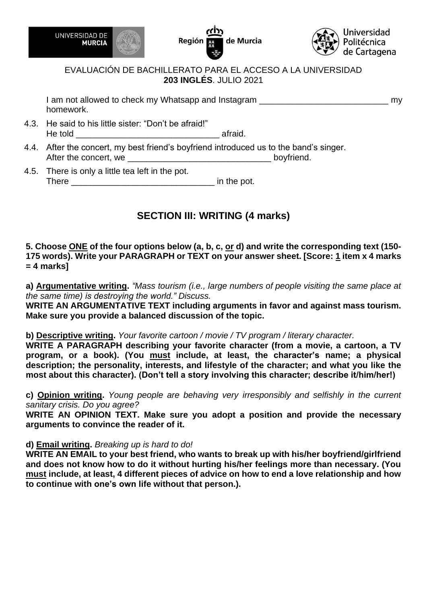





I am not allowed to check my Whatsapp and Instagram **Example 20** and  $\frac{1}{2}$  my homework.

- 4.3. He said to his little sister: "Don't be afraid!" He told **Example 20** afraid.
- 4.4. After the concert, my best friend's boyfriend introduced us to the band's singer. After the concert, we \_\_\_\_\_\_\_\_\_\_\_\_\_\_\_\_\_\_\_\_\_\_\_\_\_\_\_\_\_\_ boyfriend.
- 4.5. There is only a little tea left in the pot. There  $\frac{1}{\sqrt{2}}$  in the pot.

# **SECTION III: WRITING (4 marks)**

#### **5. Choose ONE of the four options below (a, b, c, or d) and write the corresponding text (150- 175 words). Write your PARAGRAPH or TEXT on your answer sheet. [Score: 1 item x 4 marks = 4 marks]**

**a) Argumentative writing.** *"Mass tourism (i.e., large numbers of people visiting the same place at the same time) is destroying the world." Discuss.*

**WRITE AN ARGUMENTATIVE TEXT including arguments in favor and against mass tourism. Make sure you provide a balanced discussion of the topic.** 

#### **b) Descriptive writing.** *Your favorite cartoon / movie / TV program / literary character.*

**WRITE A PARAGRAPH describing your favorite character (from a movie, a cartoon, a TV program, or a book). (You must include, at least, the character's name; a physical description; the personality, interests, and lifestyle of the character; and what you like the most about this character). (Don't tell a story involving this character; describe it/him/her!)**

**c) Opinion writing.** *Young people are behaving very irresponsibly and selfishly in the current sanitary crisis. Do you agree?*

**WRITE AN OPINION TEXT. Make sure you adopt a position and provide the necessary arguments to convince the reader of it.**

#### **d) Email writing.** *Breaking up is hard to do!*

**WRITE AN EMAIL to your best friend, who wants to break up with his/her boyfriend/girlfriend and does not know how to do it without hurting his/her feelings more than necessary. (You must include, at least, 4 different pieces of advice on how to end a love relationship and how to continue with one's own life without that person.).**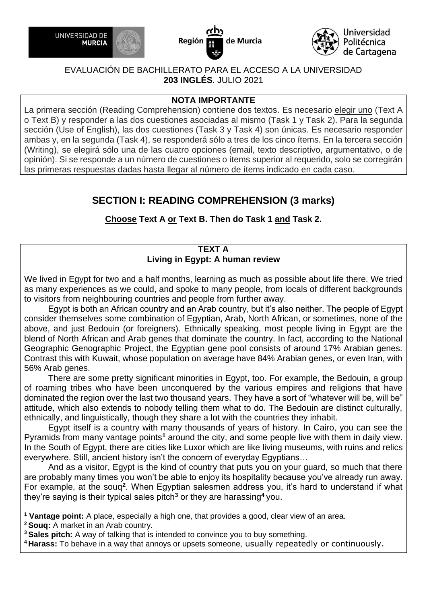





#### **NOTA IMPORTANTE**

La primera sección (Reading Comprehension) contiene dos textos. Es necesario elegir uno (Text A o Text B) y responder a las dos cuestiones asociadas al mismo (Task 1 y Task 2). Para la segunda sección (Use of English), las dos cuestiones (Task 3 y Task 4) son únicas. Es necesario responder ambas y, en la segunda (Task 4), se responderá sólo a tres de los cinco ítems. En la tercera sección (Writing), se elegirá sólo una de las cuatro opciones (email, texto descriptivo, argumentativo, o de opinión). Si se responde a un número de cuestiones o ítems superior al requerido, solo se corregirán las primeras respuestas dadas hasta llegar al número de ítems indicado en cada caso.

# **SECTION I: READING COMPREHENSION (3 marks)**

**Choose Text A or Text B. Then do Task 1 and Task 2.**

# **TEXT A Living in Egypt: A human review**

We lived in Egypt for two and a half months, learning as much as possible about life there. We tried as many experiences as we could, and spoke to many people, from locals of different backgrounds to visitors from neighbouring countries and people from further away.

 Egypt is both an African country and an Arab country, but it's also neither. The people of Egypt consider themselves some combination of Egyptian, Arab, North African, or sometimes, none of the above, and just Bedouin (or foreigners). Ethnically speaking, most people living in Egypt are the blend of North African and Arab genes that dominate the country. In fact, according to the National Geographic Genographic Project, the Egyptian gene pool consists of around 17% Arabian genes. Contrast this with Kuwait, whose population on average have 84% Arabian genes, or even Iran, with 56% Arab genes.

 There are some pretty significant minorities in Egypt, too. For example, the Bedouin, a group of roaming tribes who have been unconquered by the various empires and religions that have dominated the region over the last two thousand years. They have a sort of "whatever will be, will be" attitude, which also extends to nobody telling them what to do. The Bedouin are distinct culturally, ethnically, and linguistically, though they share a lot with the countries they inhabit.

 Egypt itself is a country with many thousands of years of history. In Cairo, you can see the Pyramids from many vantage points**<sup>1</sup>** around the city, and some people live with them in daily view. In the South of Egypt, there are cities like Luxor which are like living museums, with ruins and relics everywhere. Still, ancient history isn't the concern of everyday Egyptians…

 And as a visitor, Egypt is the kind of country that puts you on your guard, so much that there are probably many times you won't be able to enjoy its hospitality because you've already run away. For example, at the souq**<sup>2</sup>** . When Egyptian salesmen address you, it's hard to understand if what they're saying is their typical sales pitch**<sup>3</sup>** or they are harassing **<sup>4</sup>** you.

**<sup>1</sup> Vantage point:** A place, especially a high one, that provides a good, clear view of an area.

**<sup>2</sup>Souq:** A market in an Arab country.

**<sup>3</sup>Sales pitch:** A way of talking that is intended to convince you to buy something.

**<sup>4</sup>Harass:** To behave in a way that annoys or upsets someone, usually repeatedly or continuously.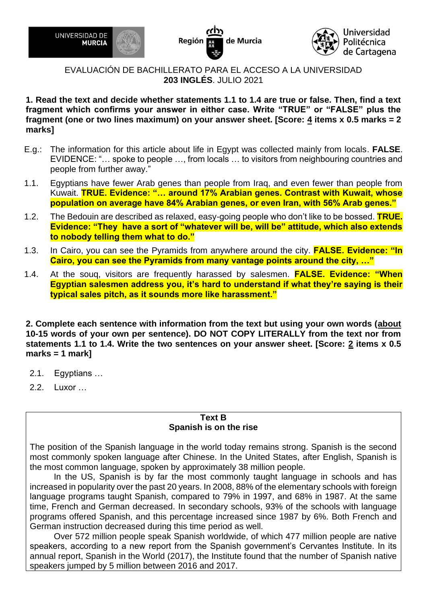





**1. Read the text and decide whether statements 1.1 to 1.4 are true or false. Then, find a text fragment which confirms your answer in either case. Write "TRUE" or "FALSE" plus the fragment (one or two lines maximum) on your answer sheet. [Score: 4 items x 0.5 marks = 2 marks]**

- E.g.: The information for this article about life in Egypt was collected mainly from locals. **FALSE**. EVIDENCE: "… spoke to people …, from locals … to visitors from neighbouring countries and people from further away."
- 1.1. Egyptians have fewer Arab genes than people from Iraq, and even fewer than people from Kuwait. **TRUE. Evidence: "… around 17% Arabian genes. Contrast with Kuwait, whose population on average have 84% Arabian genes, or even Iran, with 56% Arab genes."**
- 1.2. The Bedouin are described as relaxed, easy-going people who don't like to be bossed. **TRUE. Evidence: "They have a sort of "whatever will be, will be" attitude, which also extends to nobody telling them what to do."**
- 1.3. In Cairo, you can see the Pyramids from anywhere around the city. **FALSE. Evidence: "In Cairo, you can see the Pyramids from many vantage points around the city, …"**
- 1.4. At the souq, visitors are frequently harassed by salesmen. **FALSE. Evidence: "When Egyptian salesmen address you, it's hard to understand if what they're saying is their typical sales pitch, as it sounds more like harassment."**

**2. Complete each sentence with information from the text but using your own words (about 10-15 words of your own per sentence). DO NOT COPY LITERALLY from the text nor from statements 1.1 to 1.4. Write the two sentences on your answer sheet. [Score: 2 items x 0.5 marks = 1 mark]**

- 2.1. Egyptians …
- 2.2. Luxor …

#### **Text B Spanish is on the rise**

The position of the Spanish language in the world today remains strong. Spanish is the second most commonly spoken language after Chinese. In the United States, after English, Spanish is the most common language, spoken by approximately 38 million people.

 In the US, Spanish is by far the most commonly taught language in schools and has increased in popularity over the past 20 years. In 2008, 88% of the elementary schools with foreign language programs taught Spanish, compared to 79% in 1997, and 68% in 1987. At the same time, French and German decreased. In secondary schools, 93% of the schools with language programs offered Spanish, and this percentage increased since 1987 by 6%. Both French and German instruction decreased during this time period as well.

 Over 572 million people speak Spanish worldwide, of which 477 million people are native speakers, according to a new report from the Spanish government's Cervantes Institute. In its annual report, Spanish in the World (2017), the Institute found that the number of Spanish native speakers jumped by 5 million between 2016 and 2017.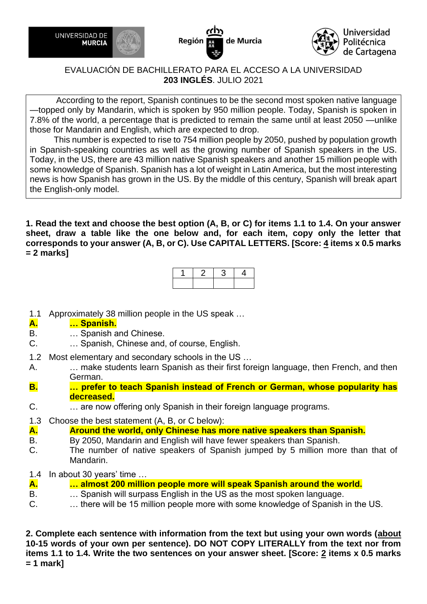





 According to the report, Spanish continues to be the second most spoken native language —topped only by Mandarin, which is spoken by 950 million people. Today, Spanish is spoken in 7.8% of the world, a percentage that is predicted to remain the same until at least 2050 —unlike those for Mandarin and English, which are expected to drop.

 This number is expected to rise to 754 million people by 2050, pushed by population growth in Spanish-speaking countries as well as the growing number of Spanish speakers in the US. Today, in the US, there are 43 million native Spanish speakers and another 15 million people with some knowledge of Spanish. Spanish has a lot of weight in Latin America, but the most interesting news is how Spanish has grown in the US. By the middle of this century, Spanish will break apart the English-only model.

**1. Read the text and choose the best option (A, B, or C) for items 1.1 to 1.4. On your answer sheet, draw a table like the one below and, for each item, copy only the letter that corresponds to your answer (A, B, or C). Use CAPITAL LETTERS. [Score: 4 items x 0.5 marks = 2 marks]**

1.1 Approximately 38 million people in the US speak …

#### **A. … Spanish.**

- B. … Spanish and Chinese.
- C. … Spanish, Chinese and, of course, English.
- 1.2 Most elementary and secondary schools in the US …
- A. … make students learn Spanish as their first foreign language, then French, and then German.
- **B. … prefer to teach Spanish instead of French or German, whose popularity has decreased.**
- C. … are now offering only Spanish in their foreign language programs.
- 1.3 Choose the best statement (A, B, or C below):
- **A. Around the world, only Chinese has more native speakers than Spanish.**
- B. By 2050, Mandarin and English will have fewer speakers than Spanish.
- C. The number of native speakers of Spanish jumped by 5 million more than that of Mandarin.
- 1.4 In about 30 years' time …
- **A. … almost 200 million people more will speak Spanish around the world.**
- B. … Spanish will surpass English in the US as the most spoken language.
- C. … there will be 15 million people more with some knowledge of Spanish in the US.

**2. Complete each sentence with information from the text but using your own words (about 10-15 words of your own per sentence). DO NOT COPY LITERALLY from the text nor from items 1.1 to 1.4. Write the two sentences on your answer sheet. [Score: 2 items x 0.5 marks = 1 mark]**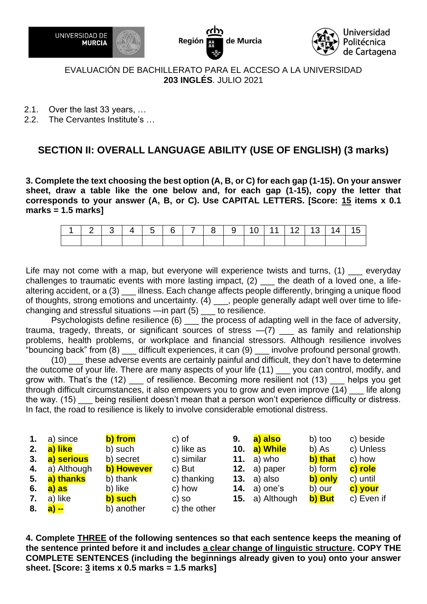





- 2.1. Over the last 33 years, …
- 2.2. The Cervantes Institute's …

# **SECTION II: OVERALL LANGUAGE ABILITY (USE OF ENGLISH) (3 marks)**

**3. Complete the text choosing the best option (A, B, or C) for each gap (1-15). On your answer sheet, draw a table like the one below and, for each gap (1-15), copy the letter that corresponds to your answer (A, B, or C). Use CAPITAL LETTERS. [Score: 15 items x 0.1 marks = 1.5 marks]**

| 1 2 3 4 5 6 7 8 9 10 11 12 13 14 15 |  |  |  |  |  |  |  |
|-------------------------------------|--|--|--|--|--|--|--|
|                                     |  |  |  |  |  |  |  |

Life may not come with a map, but everyone will experience twists and turns, (1) everyday challenges to traumatic events with more lasting impact, (2) \_\_\_ the death of a loved one, a lifealtering accident, or a (3) \_\_\_ illness. Each change affects people differently, bringing a unique flood of thoughts, strong emotions and uncertainty. (4) \_\_\_, people generally adapt well over time to lifechanging and stressful situations —in part (5) \_\_\_ to resilience.

Psychologists define resilience (6) \_\_\_ the process of adapting well in the face of adversity, trauma, tragedy, threats, or significant sources of stress  $-(7)$   $\phantom{..}\phantom{..}\phantom{..}$  as family and relationship problems, health problems, or workplace and financial stressors. Although resilience involves "bouncing back" from (8) \_\_\_ difficult experiences, it can (9) \_\_\_ involve profound personal growth.

(10) \_\_\_ these adverse events are certainly painful and difficult, they don't have to determine the outcome of your life. There are many aspects of your life (11) \_\_\_ you can control, modify, and grow with. That's the (12) of resilience. Becoming more resilient not (13) helps you get through difficult circumstances, it also empowers you to grow and even improve  $(14)$  life along the way. (15) \_\_\_ being resilient doesn't mean that a person won't experience difficulty or distress. In fact, the road to resilience is likely to involve considerable emotional distress.

| $\mathbf{1}$ . | a) since    | b) from    | c) of        | 9.  | a) also                | b) too  | c) beside  |
|----------------|-------------|------------|--------------|-----|------------------------|---------|------------|
| 2.             | a) like     | b) such    | c) like as   | 10. | a) While               | b) As   | c) Unless  |
| 3.             | a) serious  | b) secret  | c) similar   |     | 11. $a)$ who           | b) that | c) how     |
| 4.             | a) Although | b) However | c) But       |     | 12. $a)$ paper         | b) form | c) role    |
| 5.             | a) thanks   | b) thank   | c) thanking  |     | 13. $a)$ also          | b) only | c) until   |
| 6.             | a) as       | b) like    | c) how       |     | 14. $a)$ one's         | b) our  | c) your    |
| 7.             | a) like     | b) such    | $c)$ so      |     | <b>15.</b> a) Although | b) But  | c) Even if |
|                | 8. a) --    | b) another | c) the other |     |                        |         |            |

**4. Complete THREE of the following sentences so that each sentence keeps the meaning of the sentence printed before it and includes a clear change of linguistic structure. COPY THE COMPLETE SENTENCES (including the beginnings already given to you) onto your answer sheet. [Score: 3 items x 0.5 marks = 1.5 marks]**